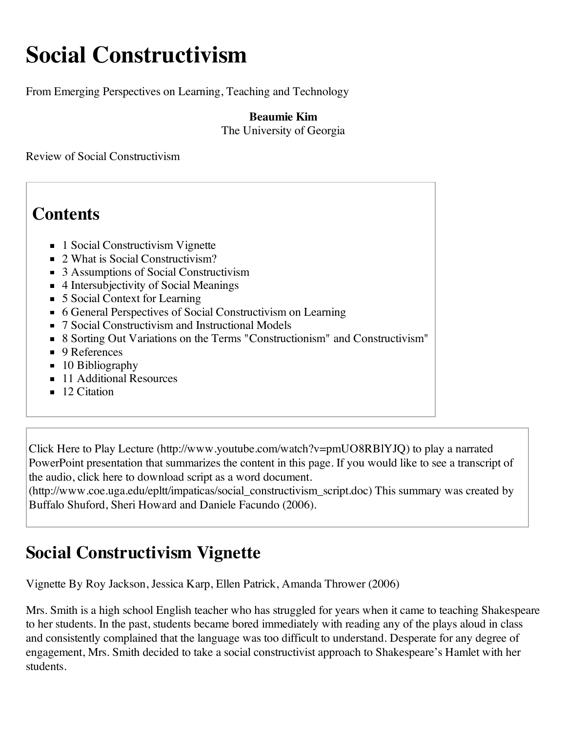# **Social Constructivism**

From Emerging Perspectives on Learning, Teaching and Technology

**Beaumie Kim** The University of Georgia

Review of Social Constructivism

# **Contents**

- 1 Social Constructivism Vignette
- 2 What is Social Constructivism?
- 3 Assumptions of Social Constructivism
- 4 Intersubjectivity of Social Meanings
- 5 Social Context for Learning
- 6 General Perspectives of Social Constructivism on Learning
- 7 Social Constructivism and Instructional Models
- 8 Sorting Out Variations on the Terms "Constructionism" and Constructivism"
- 9 References
- $\blacksquare$  10 Bibliography
- 11 Additional Resources
- $\blacksquare$  12 Citation

Click Here to Play Lecture (http://www.youtube.com/watch?v=pmUO8RBlYJQ) to play a narrated PowerPoint presentation that summarizes the content in this page. If you would like to see a transcript of the audio, click here to download script as a word document.

(http://www.coe.uga.edu/epltt/impaticas/social\_constructivism\_script.doc) This summary was created by Buffalo Shuford, Sheri Howard and Daniele Facundo (2006).

# **Social Constructivism Vignette**

Vignette By Roy Jackson, Jessica Karp, Ellen Patrick, Amanda Thrower (2006)

Mrs. Smith is a high school English teacher who has struggled for years when it came to teaching Shakespeare to her students. In the past, students became bored immediately with reading any of the plays aloud in class and consistently complained that the language was too difficult to understand. Desperate for any degree of engagement, Mrs. Smith decided to take a social constructivist approach to Shakespeare's Hamlet with her students.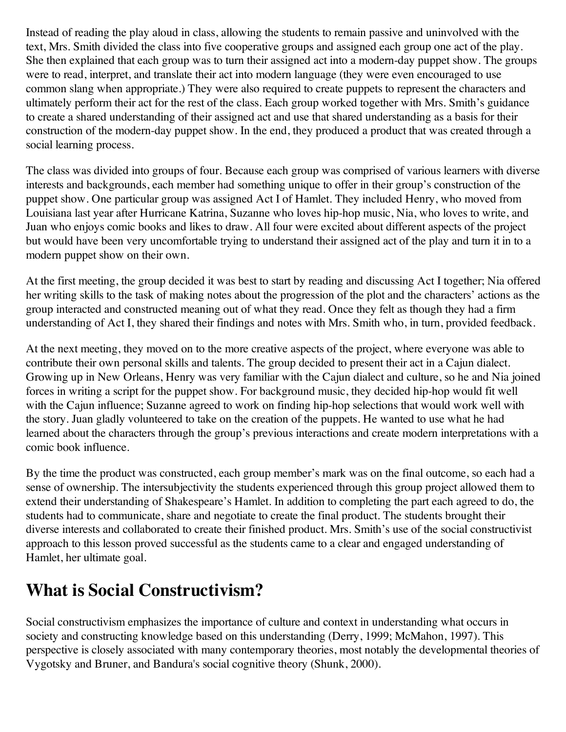Instead of reading the play aloud in class, allowing the students to remain passive and uninvolved with the text, Mrs. Smith divided the class into five cooperative groups and assigned each group one act of the play. She then explained that each group was to turn their assigned act into a modern-day puppet show. The groups were to read, interpret, and translate their act into modern language (they were even encouraged to use common slang when appropriate.) They were also required to create puppets to represent the characters and ultimately perform their act for the rest of the class. Each group worked together with Mrs. Smith's guidance to create a shared understanding of their assigned act and use that shared understanding as a basis for their construction of the modern-day puppet show. In the end, they produced a product that was created through a social learning process.

The class was divided into groups of four. Because each group was comprised of various learners with diverse interests and backgrounds, each member had something unique to offer in their group's construction of the puppet show. One particular group was assigned Act I of Hamlet. They included Henry, who moved from Louisiana last year after Hurricane Katrina, Suzanne who loves hip-hop music, Nia, who loves to write, and Juan who enjoys comic books and likes to draw. All four were excited about different aspects of the project but would have been very uncomfortable trying to understand their assigned act of the play and turn it in to a modern puppet show on their own.

At the first meeting, the group decided it was best to start by reading and discussing Act I together; Nia offered her writing skills to the task of making notes about the progression of the plot and the characters' actions as the group interacted and constructed meaning out of what they read. Once they felt as though they had a firm understanding of Act I, they shared their findings and notes with Mrs. Smith who, in turn, provided feedback.

At the next meeting, they moved on to the more creative aspects of the project, where everyone was able to contribute their own personal skills and talents. The group decided to present their act in a Cajun dialect. Growing up in New Orleans, Henry was very familiar with the Cajun dialect and culture, so he and Nia joined forces in writing a script for the puppet show. For background music, they decided hip-hop would fit well with the Cajun influence; Suzanne agreed to work on finding hip-hop selections that would work well with the story. Juan gladly volunteered to take on the creation of the puppets. He wanted to use what he had learned about the characters through the group's previous interactions and create modern interpretations with a comic book influence.

By the time the product was constructed, each group member's mark was on the final outcome, so each had a sense of ownership. The intersubjectivity the students experienced through this group project allowed them to extend their understanding of Shakespeare's Hamlet. In addition to completing the part each agreed to do, the students had to communicate, share and negotiate to create the final product. The students brought their diverse interests and collaborated to create their finished product. Mrs. Smith's use of the social constructivist approach to this lesson proved successful as the students came to a clear and engaged understanding of Hamlet, her ultimate goal.

#### **What is Social Constructivism?**

Social constructivism emphasizes the importance of culture and context in understanding what occurs in society and constructing knowledge based on this understanding (Derry, 1999; McMahon, 1997). This perspective is closely associated with many contemporary theories, most notably the developmental theories of Vygotsky and Bruner, and Bandura's social cognitive theory (Shunk, 2000).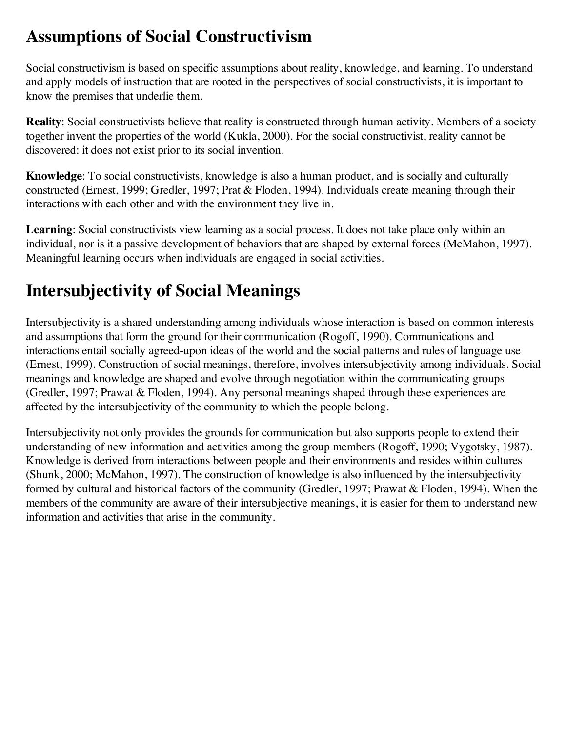### **Assumptions of Social Constructivism**

Social constructivism is based on specific assumptions about reality, knowledge, and learning. To understand and apply models of instruction that are rooted in the perspectives of social constructivists, it is important to know the premises that underlie them.

**Reality**: Social constructivists believe that reality is constructed through human activity. Members of a society together invent the properties of the world (Kukla, 2000). For the social constructivist, reality cannot be discovered: it does not exist prior to its social invention.

**Knowledge**: To social constructivists, knowledge is also a human product, and is socially and culturally constructed (Ernest, 1999; Gredler, 1997; Prat & Floden, 1994). Individuals create meaning through their interactions with each other and with the environment they live in.

Learning: Social constructivists view learning as a social process. It does not take place only within an individual, nor is it a passive development of behaviors that are shaped by external forces (McMahon, 1997). Meaningful learning occurs when individuals are engaged in social activities.

# **Intersubjectivity of Social Meanings**

Intersubjectivity is a shared understanding among individuals whose interaction is based on common interests and assumptions that form the ground for their communication (Rogoff, 1990). Communications and interactions entail socially agreed-upon ideas of the world and the social patterns and rules of language use (Ernest, 1999). Construction of social meanings, therefore, involves intersubjectivity among individuals. Social meanings and knowledge are shaped and evolve through negotiation within the communicating groups (Gredler, 1997; Prawat & Floden, 1994). Any personal meanings shaped through these experiences are affected by the intersubjectivity of the community to which the people belong.

Intersubjectivity not only provides the grounds for communication but also supports people to extend their understanding of new information and activities among the group members (Rogoff, 1990; Vygotsky, 1987). Knowledge is derived from interactions between people and their environments and resides within cultures (Shunk, 2000; McMahon, 1997). The construction of knowledge is also influenced by the intersubjectivity formed by cultural and historical factors of the community (Gredler, 1997; Prawat & Floden, 1994). When the members of the community are aware of their intersubjective meanings, it is easier for them to understand new information and activities that arise in the community.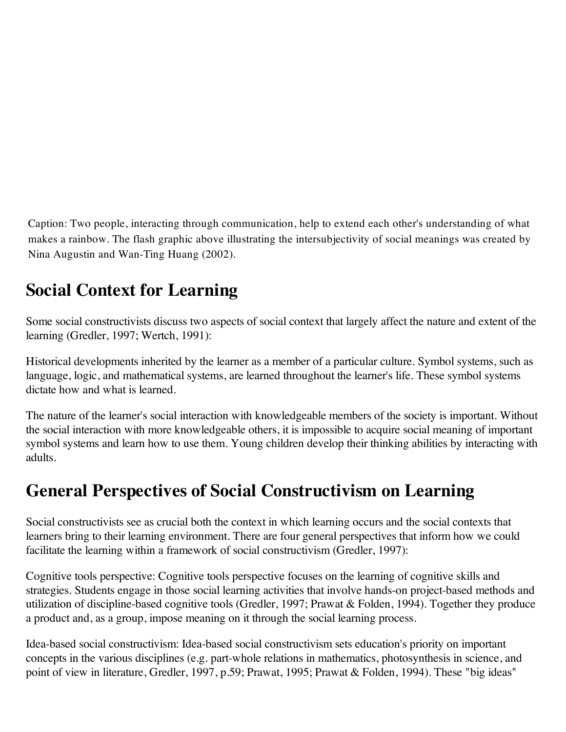Caption: Two people, interacting through communication, help to extend each other's understanding of what makes a rainbow. The flash graphic above illustrating the intersubjectivity of social meanings was created by Nina Augustin and Wan-Ting Huang (2002).

# **Social Context for Learning**

Some social constructivists discuss two aspects of social context that largely affect the nature and extent of the learning (Gredler, 1997; Wertch, 1991):

Historical developments inherited by the learner as a member of a particular culture. Symbol systems, such as language, logic, and mathematical systems, are learned throughout the learner's life. These symbol systems dictate how and what is learned.

The nature of the learner's social interaction with knowledgeable members of the society is important. Without the social interaction with more knowledgeable others, it is impossible to acquire social meaning of important symbol systems and learn how to use them. Young children develop their thinking abilities by interacting with adults.

#### **General Perspectives of Social Constructivism on Learning**

Social constructivists see as crucial both the context in which learning occurs and the social contexts that learners bring to their learning environment. There are four general perspectives that inform how we could facilitate the learning within a framework of social constructivism (Gredler, 1997):

Cognitive tools perspective: Cognitive tools perspective focuses on the learning of cognitive skills and strategies. Students engage in those social learning activities that involve hands-on project-based methods and utilization of discipline-based cognitive tools (Gredler, 1997; Prawat & Folden, 1994). Together they produce a product and, as a group, impose meaning on it through the social learning process.

Idea-based social constructivism: Idea-based social constructivism sets education's priority on important concepts in the various disciplines (e.g. part-whole relations in mathematics, photosynthesis in science, and point of view in literature, Gredler, 1997, p.59; Prawat, 1995; Prawat & Folden, 1994). These "big ideas"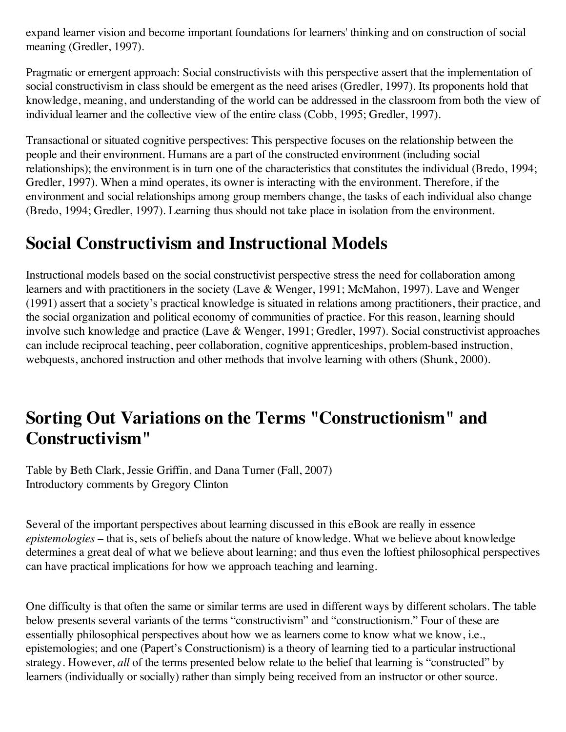expand learner vision and become important foundations for learners' thinking and on construction of social meaning (Gredler, 1997).

Pragmatic or emergent approach: Social constructivists with this perspective assert that the implementation of social constructivism in class should be emergent as the need arises (Gredler, 1997). Its proponents hold that knowledge, meaning, and understanding of the world can be addressed in the classroom from both the view of individual learner and the collective view of the entire class (Cobb, 1995; Gredler, 1997).

Transactional or situated cognitive perspectives: This perspective focuses on the relationship between the people and their environment. Humans are a part of the constructed environment (including social relationships); the environment is in turn one of the characteristics that constitutes the individual (Bredo, 1994; Gredler, 1997). When a mind operates, its owner is interacting with the environment. Therefore, if the environment and social relationships among group members change, the tasks of each individual also change (Bredo, 1994; Gredler, 1997). Learning thus should not take place in isolation from the environment.

#### **Social Constructivism and Instructional Models**

Instructional models based on the social constructivist perspective stress the need for collaboration among learners and with practitioners in the society (Lave & Wenger, 1991; McMahon, 1997). Lave and Wenger (1991) assert that a society's practical knowledge is situated in relations among practitioners, their practice, and the social organization and political economy of communities of practice. For this reason, learning should involve such knowledge and practice (Lave & Wenger, 1991; Gredler, 1997). Social constructivist approaches can include reciprocal teaching, peer collaboration, cognitive apprenticeships, problem-based instruction, webquests, anchored instruction and other methods that involve learning with others (Shunk, 2000).

#### **Sorting Out Variations on the Terms "Constructionism" and Constructivism"**

Table by Beth Clark, Jessie Griffin, and Dana Turner (Fall, 2007) Introductory comments by Gregory Clinton

Several of the important perspectives about learning discussed in this eBook are really in essence *epistemologies* – that is, sets of beliefs about the nature of knowledge. What we believe about knowledge determines a great deal of what we believe about learning; and thus even the loftiest philosophical perspectives can have practical implications for how we approach teaching and learning.

One difficulty is that often the same or similar terms are used in different ways by different scholars. The table below presents several variants of the terms "constructivism" and "constructionism." Four of these are essentially philosophical perspectives about how we as learners come to know what we know, i.e., epistemologies; and one (Papert's Constructionism) is a theory of learning tied to a particular instructional strategy. However, *all* of the terms presented below relate to the belief that learning is "constructed" by learners (individually or socially) rather than simply being received from an instructor or other source.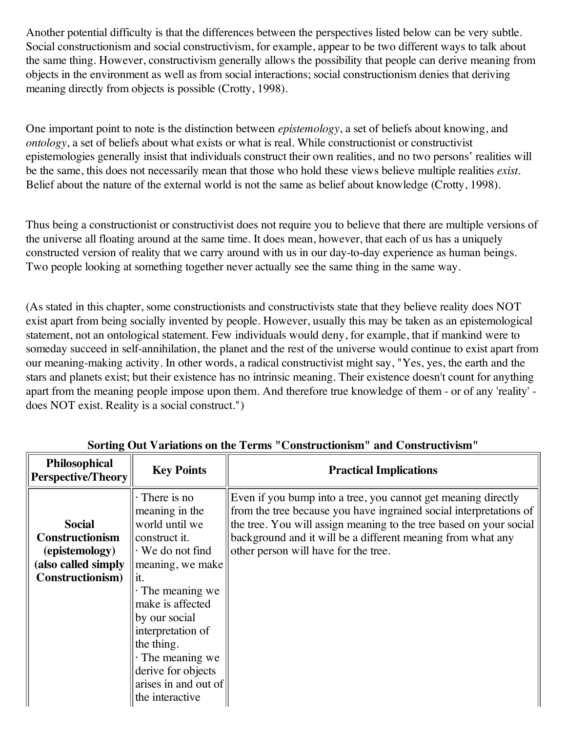Another potential difficulty is that the differences between the perspectives listed below can be very subtle. Social constructionism and social constructivism, for example, appear to be two different ways to talk about the same thing. However, constructivism generally allows the possibility that people can derive meaning from objects in the environment as well as from social interactions; social constructionism denies that deriving meaning directly from objects is possible (Crotty, 1998).

One important point to note is the distinction between *epistemology*, a set of beliefs about knowing, and *ontology*, a set of beliefs about what exists or what is real. While constructionist or constructivist epistemologies generally insist that individuals construct their own realities, and no two persons' realities will be the same, this does not necessarily mean that those who hold these views believe multiple realities *exist*. Belief about the nature of the external world is not the same as belief about knowledge (Crotty, 1998).

Thus being a constructionist or constructivist does not require you to believe that there are multiple versions of the universe all floating around at the same time. It does mean, however, that each of us has a uniquely constructed version of reality that we carry around with us in our day-to-day experience as human beings. Two people looking at something together never actually see the same thing in the same way.

(As stated in this chapter, some constructionists and constructivists state that they believe reality does NOT exist apart from being socially invented by people. However, usually this may be taken as an epistemological statement, not an ontological statement. Few individuals would deny, for example, that if mankind were to someday succeed in self-annihilation, the planet and the rest of the universe would continue to exist apart from our meaning-making activity. In other words, a radical constructivist might say, "Yes, yes, the earth and the stars and planets exist; but their existence has no intrinsic meaning. Their existence doesn't count for anything apart from the meaning people impose upon them. And therefore true knowledge of them - or of any 'reality' does NOT exist. Reality is a social construct.")

| Philosophical<br><b>Perspective/Theory</b>                                                           | <b>Key Points</b>                                                                                                                                                                                                                                                                                                          | <b>Practical Implications</b>                                                                                                                                                                                                                                                                                    |
|------------------------------------------------------------------------------------------------------|----------------------------------------------------------------------------------------------------------------------------------------------------------------------------------------------------------------------------------------------------------------------------------------------------------------------------|------------------------------------------------------------------------------------------------------------------------------------------------------------------------------------------------------------------------------------------------------------------------------------------------------------------|
| <b>Social</b><br><b>Constructionism</b><br>(epistemology)<br>(also called simply<br>Constructionism) | $\cdot$ There is no<br>meaning in the<br>world until we<br>construct it.<br>$\cdot$ We do not find<br>meaning, we make<br>it.<br>$\cdot$ The meaning we<br>make is affected<br>by our social<br>interpretation of<br>the thing.<br>$\cdot$ The meaning we<br>derive for objects<br>arises in and out of<br>the interactive | Even if you bump into a tree, you cannot get meaning directly<br>from the tree because you have ingrained social interpretations of<br>the tree. You will assign meaning to the tree based on your social<br>background and it will be a different meaning from what any<br>other person will have for the tree. |

**Sorting Out Variations on the Terms "Constructionism" and Constructivism"**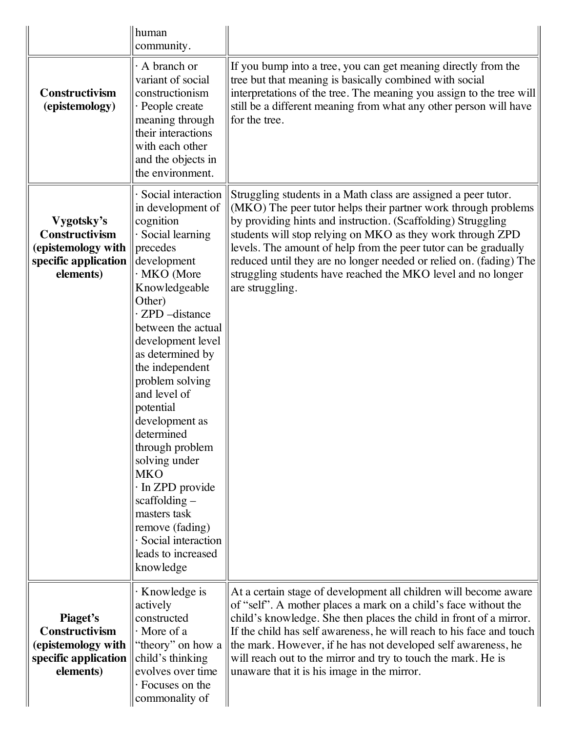|                                                                                         | human<br>community.                                                                                                                                                                                                                                                                                                                                                                                                                                                                                                      |                                                                                                                                                                                                                                                                                                                                                                                                                                                                                            |
|-----------------------------------------------------------------------------------------|--------------------------------------------------------------------------------------------------------------------------------------------------------------------------------------------------------------------------------------------------------------------------------------------------------------------------------------------------------------------------------------------------------------------------------------------------------------------------------------------------------------------------|--------------------------------------------------------------------------------------------------------------------------------------------------------------------------------------------------------------------------------------------------------------------------------------------------------------------------------------------------------------------------------------------------------------------------------------------------------------------------------------------|
| Constructivism<br>(epistemology)                                                        | A branch or<br>variant of social<br>constructionism<br>· People create<br>meaning through<br>their interactions<br>with each other<br>and the objects in<br>the environment.                                                                                                                                                                                                                                                                                                                                             | If you bump into a tree, you can get meaning directly from the<br>tree but that meaning is basically combined with social<br>interpretations of the tree. The meaning you assign to the tree will<br>still be a different meaning from what any other person will have<br>for the tree.                                                                                                                                                                                                    |
| Vygotsky's<br>Constructivism<br>(epistemology with<br>specific application<br>elements) | Social interaction<br>in development of<br>cognition<br>Social learning<br>precedes<br>development<br>· MKO (More<br>Knowledgeable<br>Other)<br>· ZPD -distance<br>between the actual<br>development level<br>as determined by<br>the independent<br>problem solving<br>and level of<br>potential<br>development as<br>determined<br>through problem<br>solving under<br><b>MKO</b><br>· In ZPD provide<br>$scaffolding -$<br>masters task<br>remove (fading)<br>· Social interaction<br>leads to increased<br>knowledge | Struggling students in a Math class are assigned a peer tutor.<br>(MKO) The peer tutor helps their partner work through problems<br>by providing hints and instruction. (Scaffolding) Struggling<br>students will stop relying on MKO as they work through ZPD<br>levels. The amount of help from the peer tutor can be gradually<br>reduced until they are no longer needed or relied on. (fading) The<br>struggling students have reached the MKO level and no longer<br>are struggling. |
| Piaget's<br>Constructivism<br>(epistemology with<br>specific application<br>elements)   | · Knowledge is<br>actively<br>constructed<br>$\cdot$ More of a<br>"theory" on how a<br>child's thinking<br>evolves over time<br>· Focuses on the<br>commonality of                                                                                                                                                                                                                                                                                                                                                       | At a certain stage of development all children will become aware<br>of "self". A mother places a mark on a child's face without the<br>child's knowledge. She then places the child in front of a mirror.<br>If the child has self awareness, he will reach to his face and touch<br>the mark. However, if he has not developed self awareness, he<br>will reach out to the mirror and try to touch the mark. He is<br>unaware that it is his image in the mirror.                         |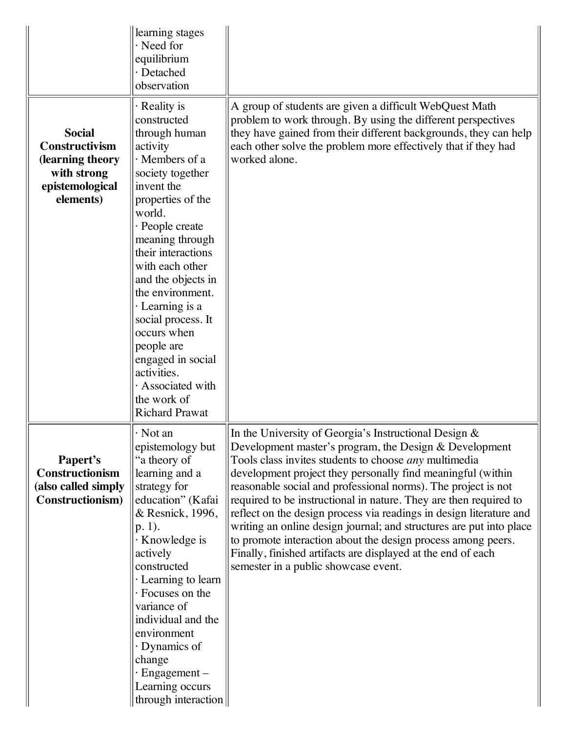|                                                                                                    | learning stages<br>$\cdot$ Need for<br>equilibrium<br>· Detached<br>observation                                                                                                                                                                                                                                                                                                                                                             |                                                                                                                                                                                                                                                                                                                                                                                                                                                                                                                                                                                                                                                                                                               |
|----------------------------------------------------------------------------------------------------|---------------------------------------------------------------------------------------------------------------------------------------------------------------------------------------------------------------------------------------------------------------------------------------------------------------------------------------------------------------------------------------------------------------------------------------------|---------------------------------------------------------------------------------------------------------------------------------------------------------------------------------------------------------------------------------------------------------------------------------------------------------------------------------------------------------------------------------------------------------------------------------------------------------------------------------------------------------------------------------------------------------------------------------------------------------------------------------------------------------------------------------------------------------------|
| <b>Social</b><br>Constructivism<br>(learning theory<br>with strong<br>epistemological<br>elements) | · Reality is<br>constructed<br>through human<br>activity<br>· Members of a<br>society together<br>invent the<br>properties of the<br>world.<br>· People create<br>meaning through<br>their interactions<br>with each other<br>and the objects in<br>the environment.<br>· Learning is a<br>social process. It<br>occurs when<br>people are<br>engaged in social<br>activities.<br>· Associated with<br>the work of<br><b>Richard Prawat</b> | A group of students are given a difficult WebQuest Math<br>problem to work through. By using the different perspectives<br>they have gained from their different backgrounds, they can help<br>each other solve the problem more effectively that if they had<br>worked alone.                                                                                                                                                                                                                                                                                                                                                                                                                                |
| Papert's<br>Constructionism<br>(also called simply<br>Constructionism)                             | $\cdot$ Not an<br>epistemology but<br>"a theory of<br>learning and a<br>strategy for<br>education" (Kafai<br>& Resnick, 1996,<br>$p. 1$ ).<br>· Knowledge is<br>actively<br>constructed<br>· Learning to learn<br>· Focuses on the<br>variance of<br>individual and the<br>environment<br>· Dynamics of<br>change<br>$\cdot$ Engagement –<br>Learning occurs<br>through interaction                                                         | In the University of Georgia's Instructional Design $\&$<br>Development master's program, the Design & Development<br>Tools class invites students to choose <i>any</i> multimedia<br>development project they personally find meaningful (within<br>reasonable social and professional norms). The project is not<br>required to be instructional in nature. They are then required to<br>reflect on the design process via readings in design literature and<br>writing an online design journal; and structures are put into place<br>to promote interaction about the design process among peers.<br>Finally, finished artifacts are displayed at the end of each<br>semester in a public showcase event. |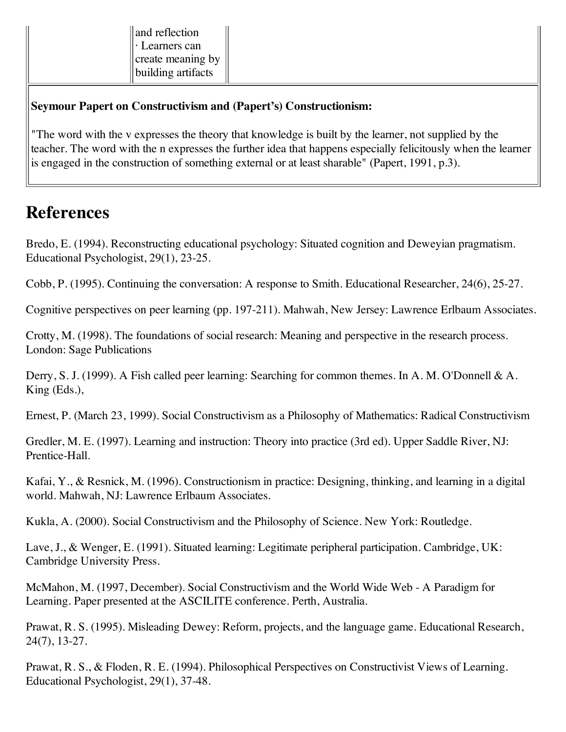| and reflection     |
|--------------------|
| · Learners can     |
| create meaning by  |
| building artifacts |

#### **Seymour Papert on Constructivism and (Papert's) Constructionism:**

"The word with the v expresses the theory that knowledge is built by the learner, not supplied by the teacher. The word with the n expresses the further idea that happens especially felicitously when the learner is engaged in the construction of something external or at least sharable" (Papert, 1991, p.3).

#### **References**

Bredo, E. (1994). Reconstructing educational psychology: Situated cognition and Deweyian pragmatism. Educational Psychologist, 29(1), 23-25.

Cobb, P. (1995). Continuing the conversation: A response to Smith. Educational Researcher, 24(6), 25-27.

Cognitive perspectives on peer learning (pp. 197-211). Mahwah, New Jersey: Lawrence Erlbaum Associates.

Crotty, M. (1998). The foundations of social research: Meaning and perspective in the research process. London: Sage Publications

Derry, S. J. (1999). A Fish called peer learning: Searching for common themes. In A. M. O'Donnell & A. King (Eds.),

Ernest, P. (March 23, 1999). Social Constructivism as a Philosophy of Mathematics: Radical Constructivism

Gredler, M. E. (1997). Learning and instruction: Theory into practice (3rd ed). Upper Saddle River, NJ: Prentice-Hall.

Kafai, Y., & Resnick, M. (1996). Constructionism in practice: Designing, thinking, and learning in a digital world. Mahwah, NJ: Lawrence Erlbaum Associates.

Kukla, A. (2000). Social Constructivism and the Philosophy of Science. New York: Routledge.

Lave, J., & Wenger, E. (1991). Situated learning: Legitimate peripheral participation. Cambridge, UK: Cambridge University Press.

McMahon, M. (1997, December). Social Constructivism and the World Wide Web - A Paradigm for Learning. Paper presented at the ASCILITE conference. Perth, Australia.

Prawat, R. S. (1995). Misleading Dewey: Reform, projects, and the language game. Educational Research, 24(7), 13-27.

Prawat, R. S., & Floden, R. E. (1994). Philosophical Perspectives on Constructivist Views of Learning. Educational Psychologist, 29(1), 37-48.